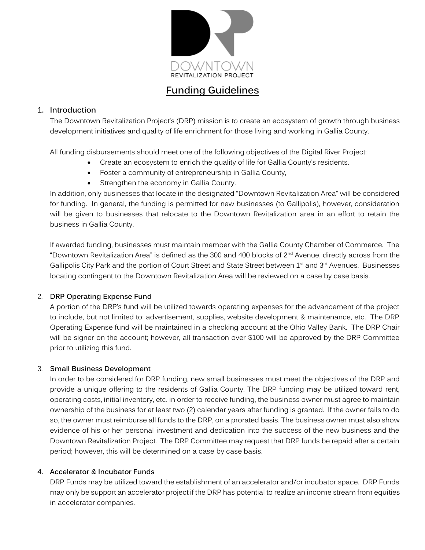

# **Funding Guidelines**

## **1. Introduction**

The Downtown Revitalization Project's (DRP) mission is to create an ecosystem of growth through business development initiatives and quality of life enrichment for those living and working in Gallia County.

All funding disbursements should meet one of the following objectives of the Digital River Project:

- Create an ecosystem to enrich the quality of life for Gallia County's residents.
- Foster a community of entrepreneurship in Gallia County,
- Strengthen the economy in Gallia County.

In addition, only businesses that locate in the designated "Downtown Revitalization Area" will be considered for funding. In general, the funding is permitted for new businesses (to Gallipolis), however, consideration will be given to businesses that relocate to the Downtown Revitalization area in an effort to retain the business in Gallia County.

If awarded funding, businesses must maintain member with the Gallia County Chamber of Commerce. The "Downtown Revitalization Area" is defined as the 300 and 400 blocks of 2nd Avenue, directly across from the Gallipolis City Park and the portion of Court Street and State Street between 1<sup>st</sup> and 3<sup>rd</sup> Avenues. Businesses locating contingent to the Downtown Revitalization Area will be reviewed on a case by case basis.

### 2. **DRP Operating Expense Fund**

A portion of the DRP's fund will be utilized towards operating expenses for the advancement of the project to include, but not limited to: advertisement, supplies, website development & maintenance, etc. The DRP Operating Expense fund will be maintained in a checking account at the Ohio Valley Bank. The DRP Chair will be signer on the account; however, all transaction over \$100 will be approved by the DRP Committee prior to utilizing this fund.

### 3. **Small Business Development**

In order to be considered for DRP funding, new small businesses must meet the objectives of the DRP and provide a unique offering to the residents of Gallia County. The DRP funding may be utilized toward rent, operating costs, initial inventory, etc. in order to receive funding, the business owner must agree to maintain ownership of the business for at least two (2) calendar years after funding is granted. If the owner fails to do so, the owner must reimburse all funds to the DRP, on a prorated basis. The business owner must also show evidence of his or her personal investment and dedication into the success of the new business and the Downtown Revitalization Project. The DRP Committee may request that DRP funds be repaid after a certain period; however, this will be determined on a case by case basis.

### **4. Accelerator & Incubator Funds**

DRP Funds may be utilized toward the establishment of an accelerator and/or incubator space. DRP Funds may only be support an accelerator project if the DRP has potential to realize an income stream from equities in accelerator companies.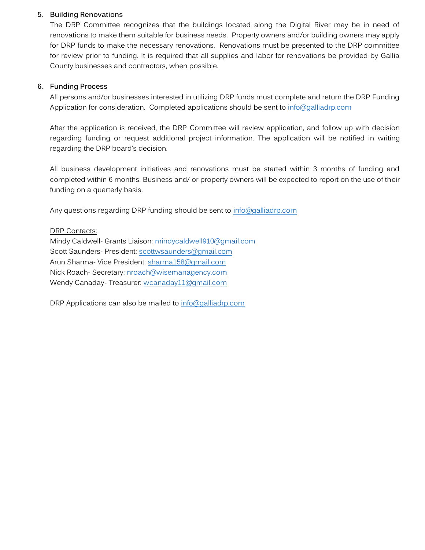#### **5. Building Renovations**

The DRP Committee recognizes that the buildings located along the Digital River may be in need of renovations to make them suitable for business needs. Property owners and/or building owners may apply for DRP funds to make the necessary renovations. Renovations must be presented to the DRP committee for review prior to funding. It is required that all supplies and labor for renovations be provided by Gallia County businesses and contractors, when possible.

#### **6. Funding Process**

All persons and/or businesses interested in utilizing DRP funds must complete and return the DRP Funding Application for consideration. Completed applications should be sent to [info@galliadrp.com](mailto:info@galliadrp.com)

After the application is received, the DRP Committee will review application, and follow up with decision regarding funding or request additional project information. The application will be notified in writing regarding the DRP board's decision.

All business development initiatives and renovations must be started within 3 months of funding and completed within 6 months. Business and/ or property owners will be expected to report on the use of their funding on a quarterly basis.

Any questions regarding DRP funding should be sent to [info@galliadrp.com](mailto:info@galliadrp.com)

DRP Contacts:

Mindy Caldwell- Grants Liaison: [mindycaldwell910@gmail.com](mailto:mindycaldwell910@gmail.com) Scott Saunders- President: [scottwsaunders@gmail.com](mailto:scottwsaunders@gmail.com) Arun Sharma- Vice President: [sharma158@gmail.com](mailto:sharma158@gmail.com) Nick Roach- Secretary: [nroach@wisemanagency.com](mailto:nroach@wisemanagency.com) Wendy Canaday- Treasurer: wcanaday11@gmail.com

DRP Applications can also be mailed to [info@galliadrp.com](mailto:info@galliadrp.com)